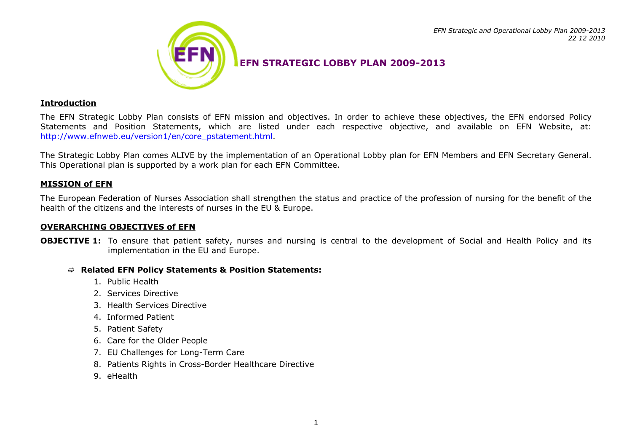

## **EFN STRATEGIC LOBBY PLAN 2009-2013**

#### **Introduction**

The EFN Strategic Lobby Plan consists of EFN mission and objectives. In order to achieve these objectives, the EFN endorsed Policy Statements and Position Statements, which are listed under each respective objective, and available on EFN Website, at: [http://www.efnweb.eu/version1/en/core\\_pstatement.html.](http://www.efnweb.eu/version1/en/core_pstatement.html)

The Strategic Lobby Plan comes ALIVE by the implementation of an Operational Lobby plan for EFN Members and EFN Secretary General. This Operational plan is supported by a work plan for each EFN Committee.

### **MISSION of EFN**

The European Federation of Nurses Association shall strengthen the status and practice of the profession of nursing for the benefit of the health of the citizens and the interests of nurses in the EU & Europe.

#### **OVERARCHING OBJECTIVES of EFN**

**OBJECTIVE 1:** To ensure that patient safety, nurses and nursing is central to the development of Social and Health Policy and its implementation in the EU and Europe.

#### **Related EFN Policy Statements & Position Statements:**

- 1. Public Health
- 2. Services Directive
- 3. Health Services Directive
- 4. Informed Patient
- 5. Patient Safety
- 6. Care for the Older People
- 7. EU Challenges for Long-Term Care
- 8. Patients Rights in Cross-Border Healthcare Directive
- 9. eHealth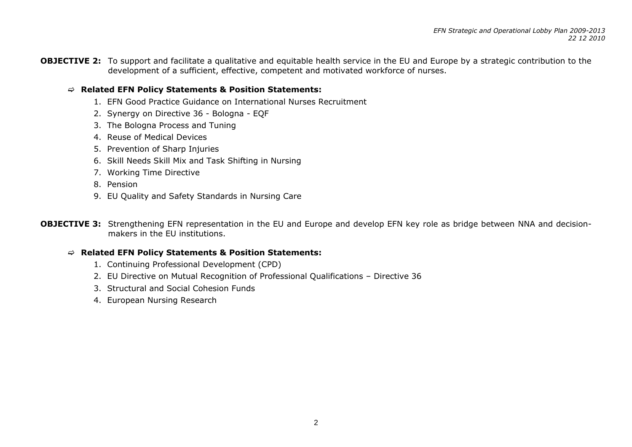**OBJECTIVE 2:** To support and facilitate a qualitative and equitable health service in the EU and Europe by a strategic contribution to the development of a sufficient, effective, competent and motivated workforce of nurses.

## **Related EFN Policy Statements & Position Statements:**

- 1. EFN Good Practice Guidance on International Nurses Recruitment
- 2. Synergy on Directive 36 Bologna EQF
- 3. The Bologna Process and Tuning
- 4. Reuse of Medical Devices
- 5. Prevention of Sharp Injuries
- 6. Skill Needs Skill Mix and Task Shifting in Nursing
- 7. Working Time Directive
- 8. Pension
- 9. EU Quality and Safety Standards in Nursing Care

**OBJECTIVE 3:** Strengthening EFN representation in the EU and Europe and develop EFN key role as bridge between NNA and decisionmakers in the EU institutions.

#### **Related EFN Policy Statements & Position Statements:**

- 1. Continuing Professional Development (CPD)
- 2. EU Directive on Mutual Recognition of Professional Qualifications Directive 36
- 3. Structural and Social Cohesion Funds
- 4. European Nursing Research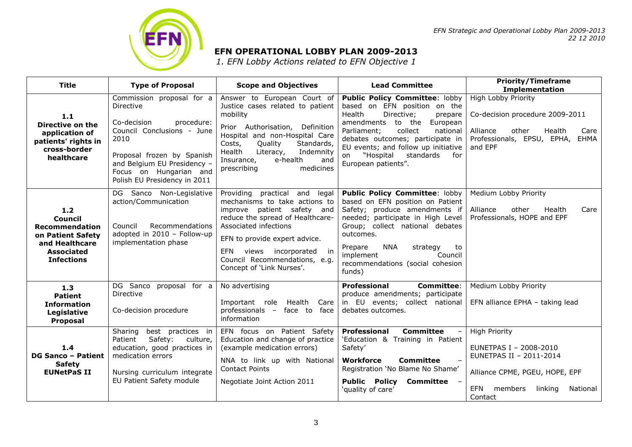

#### *EFN Strategic and Operational Lobby Plan 2009-2013 22 12 2010*

## **EFN OPERATIONAL LOBBY PLAN 2009-2013**

*1. EFN Lobby Actions related to EFN Objective 1*

| <b>Title</b>                                                                                                        | <b>Type of Proposal</b>                                                                                                                                                                                                          | <b>Scope and Objectives</b>                                                                                                                                                                                                                                                                           | <b>Lead Committee</b>                                                                                                                                                                                                                                                                                                    | <b>Priority/Timeframe</b><br><b>Implementation</b>                                                                                                              |
|---------------------------------------------------------------------------------------------------------------------|----------------------------------------------------------------------------------------------------------------------------------------------------------------------------------------------------------------------------------|-------------------------------------------------------------------------------------------------------------------------------------------------------------------------------------------------------------------------------------------------------------------------------------------------------|--------------------------------------------------------------------------------------------------------------------------------------------------------------------------------------------------------------------------------------------------------------------------------------------------------------------------|-----------------------------------------------------------------------------------------------------------------------------------------------------------------|
| 1.1<br>Directive on the<br>application of<br>patients' rights in<br>cross-border<br>healthcare                      | Commission proposal for a<br>Directive<br>Co-decision<br>procedure:<br>Council Conclusions - June<br>2010<br>Proposal frozen by Spanish<br>and Belgium EU Presidency -<br>Focus on Hungarian and<br>Polish EU Presidency in 2011 | Answer to European Court of<br>Justice cases related to patient<br>mobility<br>Prior Authorisation,<br>Definition<br>Hospital and non-Hospital Care<br>Quality<br>Standards,<br>Costs,<br>Literacy,<br>Health<br>Indemnity<br>Insurance,<br>e-health<br>and<br>prescribing<br>medicines               | <b>Public Policy Committee: lobby</b><br>based on EFN position on the<br>Health<br>Directive;<br>prepare<br>amendments to the<br>European<br>Parliament;<br>collect<br>national<br>debates outcomes; participate in<br>EU events; and follow up initiative<br>"Hospital<br>standards<br>for<br>on<br>European patients". | High Lobby Priority<br>Co-decision procedure 2009-2011<br>other<br>Alliance<br>Health<br>Care<br>Professionals, EPSU, EPHA, EHMA<br>and EPF                     |
| $1.2$<br>Council<br>Recommendation<br>on Patient Safety<br>and Healthcare<br><b>Associated</b><br><b>Infections</b> | DG Sanco Non-Legislative<br>action/Communication<br>Recommendations<br>Council<br>adopted in 2010 - Follow-up<br>implementation phase                                                                                            | Providing practical<br>and<br>legal<br>mechanisms to take actions to<br>improve patient safety and<br>reduce the spread of Healthcare-<br>Associated infections<br>EFN to provide expert advice.<br>incorporated<br>EFN<br>views<br>in.<br>Council Recommendations, e.g.<br>Concept of 'Link Nurses'. | <b>Public Policy Committee: lobby</b><br>based on EFN position on Patient<br>Safety; produce amendments if<br>needed; participate in High Level<br>Group; collect national debates<br>outcomes.<br><b>NNA</b><br>Prepare<br>strategy<br>to<br>implement<br>Council<br>recommendations (social cohesion<br>funds)         | Medium Lobby Priority<br>other<br>Alliance<br>Health<br>Care<br>Professionals, HOPE and EPF                                                                     |
| 1.3<br><b>Patient</b><br><b>Information</b><br>Legislative<br>Proposal                                              | DG Sanco proposal for a<br>Directive<br>Co-decision procedure                                                                                                                                                                    | No advertising<br>Health<br>Important role<br>Care<br>professionals - face to face<br>information                                                                                                                                                                                                     | Professional<br><b>Committee:</b><br>produce amendments; participate<br>in EU events; collect national<br>debates outcomes.                                                                                                                                                                                              | Medium Lobby Priority<br>EFN alliance EPHA - taking lead                                                                                                        |
| 1.4<br><b>DG Sanco - Patient</b><br><b>Safety</b><br><b>EUNetPaS II</b>                                             | best practices in<br>Sharing<br>Patient<br>Safety:<br>culture,<br>education, good practices in<br>medication errors<br>Nursing curriculum integrate<br>EU Patient Safety module                                                  | EFN focus on Patient Safety<br>Education and change of practice<br>(example medication errors)<br>NNA to link up with National<br><b>Contact Points</b><br>Negotiate Joint Action 2011                                                                                                                | <b>Committee</b><br>Professional<br>'Education & Training in Patient<br>Safety'<br>Workforce<br>Committee<br>$\overline{\phantom{a}}$<br>Registration 'No Blame No Shame'<br>Public Policy Committee -<br>'quality of care'                                                                                              | <b>High Priority</b><br>EUNETPAS I - 2008-2010<br>EUNETPAS II - 2011-2014<br>Alliance CPME, PGEU, HOPE, EPF<br>members<br>EFN<br>linking<br>National<br>Contact |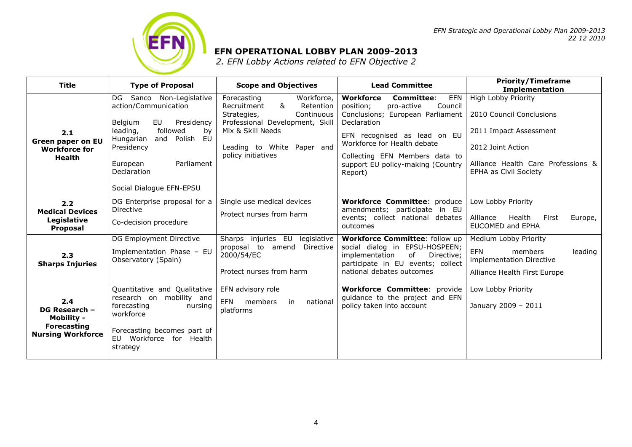

## **EFN OPERATIONAL LOBBY PLAN 2009-2013**

*2. EFN Lobby Actions related to EFN Objective 2*

| <b>Title</b>                                                                                | <b>Type of Proposal</b>                                                                                                                                                                                                                 | <b>Scope and Objectives</b>                                                                                                                                                                         | <b>Lead Committee</b>                                                                                                                                                                                                                                                           | <b>Priority/Timeframe</b><br><b>Implementation</b>                                                                                                            |
|---------------------------------------------------------------------------------------------|-----------------------------------------------------------------------------------------------------------------------------------------------------------------------------------------------------------------------------------------|-----------------------------------------------------------------------------------------------------------------------------------------------------------------------------------------------------|---------------------------------------------------------------------------------------------------------------------------------------------------------------------------------------------------------------------------------------------------------------------------------|---------------------------------------------------------------------------------------------------------------------------------------------------------------|
| 2.1<br><b>Green paper on EU</b><br><b>Workforce for</b><br><b>Health</b>                    | Sanco Non-Legislative<br>DG<br>action/Communication<br>Presidency<br>Belgium<br>EU<br>leading,<br>followed<br>by<br>Hungarian<br>and<br>Polish<br>EU<br>Presidency<br>Parliament<br>European<br>Declaration<br>Social Dialogue EFN-EPSU | Workforce,<br>Forecasting<br>&<br>Recruitment<br>Retention<br>Strategies,<br>Continuous<br>Professional Development, Skill<br>Mix & Skill Needs<br>Leading to White Paper and<br>policy initiatives | Workforce<br><b>EFN</b><br>Committee:<br>Council<br>position;<br>pro-active<br>Conclusions; European Parliament<br>Declaration<br>EFN recognised as lead on EU<br>Workforce for Health debate<br>Collecting EFN Members data to<br>support EU policy-making (Country<br>Report) | High Lobby Priority<br>2010 Council Conclusions<br>2011 Impact Assessment<br>2012 Joint Action<br>Alliance Health Care Professions &<br>EPHA as Civil Society |
| 2.2<br><b>Medical Devices</b><br>Legislative<br><b>Proposal</b>                             | DG Enterprise proposal for a<br>Directive<br>Co-decision procedure                                                                                                                                                                      | Single use medical devices<br>Protect nurses from harm                                                                                                                                              | <b>Workforce Committee: produce</b><br>amendments; participate in EU<br>events; collect national debates<br>outcomes                                                                                                                                                            | Low Lobby Priority<br>Health<br>Alliance<br>First<br>Europe,<br>EUCOMED and EPHA                                                                              |
| 2.3<br><b>Sharps Injuries</b>                                                               | DG Employment Directive<br>Implementation Phase - EU<br>Observatory (Spain)                                                                                                                                                             | Sharps injuries EU<br>legislative<br>proposal to amend<br>Directive<br>2000/54/EC<br>Protect nurses from harm                                                                                       | Workforce Committee: follow up<br>social dialog in EPSU-HOSPEEN;<br>implementation<br>of<br>Directive;<br>participate in EU events; collect<br>national debates outcomes                                                                                                        | Medium Lobby Priority<br><b>EFN</b><br>members<br>leading<br>implementation Directive<br>Alliance Health First Europe                                         |
| 2.4<br>DG Research -<br><b>Mobility -</b><br><b>Forecasting</b><br><b>Nursing Workforce</b> | Quantitative and Qualitative<br>research on mobility and<br>forecasting<br>nursing<br>workforce<br>Forecasting becomes part of<br>EU Workforce for Health<br>strategy                                                                   | EFN advisory role<br><b>EFN</b><br>members<br>national<br>in<br>platforms                                                                                                                           | <b>Workforce Committee: provide</b><br>guidance to the project and EFN<br>policy taken into account                                                                                                                                                                             | Low Lobby Priority<br>January 2009 - 2011                                                                                                                     |